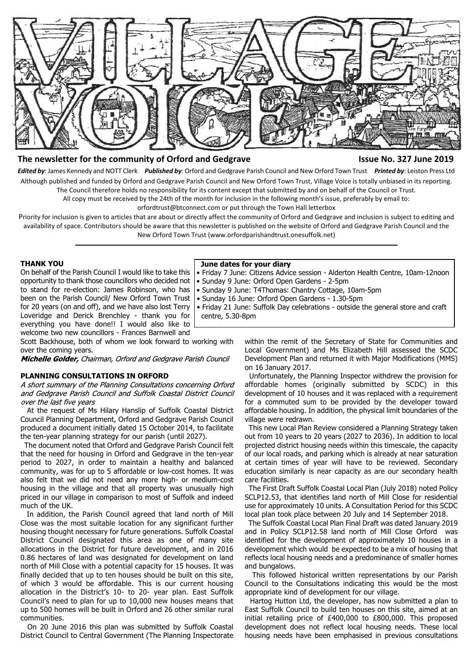

# **The newsletter for the community of Orford and Gedgrave Issue No. 327 June 2019**

*Edited by*: James Kennedy and NOTT Clerk *Published by*: Orford and Gedgrave Parish Council and New Orford Town Trust *Printed by*: Leiston Press Ltd Although published and funded by Orford and Gedgrave Parish Council and New Orford Town Trust, Village Voice is totally unbiased in its reporting. The Council therefore holds no responsibility for its content except that submitted by and on behalf of the Council or Trust.

All copy must be received by the 24th of the month for inclusion in the following month's issue, preferably by email to:

orfordtrust@btconnect.com or put through the Town Hall letterbox

centre, 5.30-8pm

Priority for inclusion is given to articles that are about or directly affect the community of Orford and Gedgrave and inclusion is subject to editing and availability of space. Contributors should be aware that this newsletter is published on the website of Orford and Gedgrave Parish Council and the New Orford Town Trust (www.orfordparishandtrust.onesuffolk.net)

 **June dates for your diary**

• Sunday 9 June: Orford Open Gardens - 2-5pm

• Sunday 9 June: T4Thomas: Chantry Cottage, 10am-5pm • Sunday 16 June: Orford Open Gardens - 1.30-5pm

#### **THANK YOU**

On behalf of the Parish Council I would like to take this opportunity to thank those councillors who decided not to stand for re-election: James Robinson, who has been on the Parish Council/ New Orford Town Trust for 20 years (on and off), and we have also lost Terry Loveridge and Derick Brenchley - thank you for everything you have done!! I would also like to welcome two new councillors - Frances Barnwell and

Scott Backhouse, both of whom we look forward to working with over the coming years.

Michelle Golder, Chairman, Orford and Gedgrave Parish Council

#### **PLANNING CONSULTATIONS IN ORFORD**

A short summary of the Planning Consultations concerning Orford and Gedgrave Parish Council and Suffolk Coastal District Council over the last five years

 At the request of Ms Hilary Hanslip of Suffolk Coastal District Council Planning Department, Orford and Gedgrave Parish Council produced a document initially dated 15 October 2014, to facilitate the ten-year planning strategy for our parish (until 2027).

 The document noted that Orford and Gedgrave Parish Council felt that the need for housing in Orford and Gedgrave in the ten-year period to 2027, in order to maintain a healthy and balanced community, was for up to 5 affordable or low-cost homes. It was also felt that we did not need any more high- or medium-cost housing in the village and that all property was unusually high priced in our village in comparison to most of Suffolk and indeed much of the UK.

 In addition, the Parish Council agreed that land north of Mill Close was the most suitable location for any significant further housing thought necessary for future generations. Suffolk Coastal District Council designated this area as one of many site allocations in the District for future development, and in 2016 0.86 hectares of land was designated for development on land north of Mill Close with a potential capacity for 15 houses. It was finally decided that up to ten houses should be built on this site, of which 3 would be affordable. This is our current housing allocation in the District's 10- to 20- year plan. East Suffolk Council's need to plan for up to 10,000 new houses means that up to 500 homes will be built in Orford and 26 other similar rural communities.

 On 20 June 2016 this plan was submitted by Suffolk Coastal District Council to Central Government (The Planning Inspectorate within the remit of the Secretary of State for Communities and Local Government) and Ms Elizabeth Hill assessed the SCDC Development Plan and returned it with Major Modifications (MMS) on 16 January 2017.

• Friday 7 June: Citizens Advice session - Alderton Health Centre, 10am-12noon

• Friday 21 June: Suffolk Day celebrations - outside the general store and craft

 Unfortunately, the Planning Inspector withdrew the provision for affordable homes (originally submitted by SCDC) in this development of 10 houses and it was replaced with a requirement for a commuted sum to be provided by the developer toward affordable housing. In addition, the physical limit boundaries of the village were redrawn.

 This new Local Plan Review considered a Planning Strategy taken out from 10 years to 20 years (2027 to 2036). In addition to local projected district housing needs within this timescale, the capacity of our local roads, and parking which is already at near saturation at certain times of year will have to be reviewed. Secondary education similarly is near capacity as are our secondary health care facilities.

 The First Draft Suffolk Coastal Local Plan (July 2018) noted Policy SCLP12.53, that identifies land north of Mill Close for residential use for approximately 10 units. A Consultation Period for this SCDC local plan took place between 20 July and 14 September 2018.

 The Suffolk Coastal Local Plan Final Draft was dated January 2019 and in Policy SCLP12.58 land north of Mill Close Orford was identified for the development of approximately 10 houses in a development which would be expected to be a mix of housing that reflects local housing needs and a predominance of smaller homes and bungalows.

 This followed historical written representations by our Parish Council to the Consultations indicating this would be the most appropriate kind of development for our village.

 Hartog Hutton Ltd, the developer, has now submitted a plan to East Suffolk Council to build ten houses on this site, aimed at an initial retailing price of £400,000 to £800,000. This proposed development does not reflect local housing needs. These local housing needs have been emphasised in previous consultations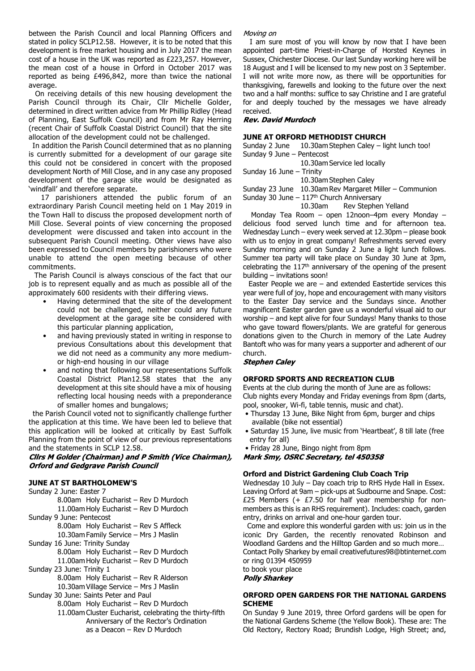between the Parish Council and local Planning Officers and stated in policy SCLP12.58. However, it is to be noted that this development is free market housing and in July 2017 the mean cost of a house in the UK was reported as £223,257. However, the mean cost of a house in Orford in October 2017 was reported as being £496,842, more than twice the national average.

 On receiving details of this new housing development the Parish Council through its Chair, Cllr Michelle Golder, determined in direct written advice from Mr Phillip Ridley (Head of Planning, East Suffolk Council) and from Mr Ray Herring (recent Chair of Suffolk Coastal District Council) that the site allocation of the development could not be challenged.

 In addition the Parish Council determined that as no planning is currently submitted for a development of our garage site this could not be considered in concert with the proposed development North of Mill Close, and in any case any proposed development of the garage site would be designated as 'windfall' and therefore separate.

 17 parishioners attended the public forum of an extraordinary Parish Council meeting held on 1 May 2019 in the Town Hall to discuss the proposed development north of Mill Close. Several points of view concerning the proposed development were discussed and taken into account in the subsequent Parish Council meeting. Other views have also been expressed to Council members by parishioners who were unable to attend the open meeting because of other commitments.

 The Parish Council is always conscious of the fact that our job is to represent equally and as much as possible all of the approximately 600 residents with their differing views.

- Having determined that the site of the development could not be challenged, neither could any future development at the garage site be considered with this particular planning application,
- and having previously stated in writing in response to previous Consultations about this development that we did not need as a community any more mediumor high-end housing in our village
- and noting that following our representations Suffolk Coastal District Plan12.58 states that the any development at this site should have a mix of housing reflecting local housing needs with a preponderance of smaller homes and bungalows;

 the Parish Council voted not to significantly challenge further the application at this time. We have been led to believe that this application will be looked at critically by East Suffolk Planning from the point of view of our previous representations

and the statements in SCLP 12.58.<br>Clirs M Golder (Chairman) and P Smith (Vice Chairman), **Orford and Gedgrave Parish Council** 

## **JUNE AT ST BARTHOLOMEW'S**

Sunday 2 June: Easter 7 8.00am Holy Eucharist – Rev D Murdoch 11.00am Holy Eucharist – Rev D Murdoch Sunday 9 June: Pentecost 8.00am Holy Eucharist – Rev S Affleck 10.30am Family Service – Mrs J Maslin Sunday 16 June: Trinity Sunday 8.00am Holy Eucharist – Rev D Murdoch 11.00am Holy Eucharist – Rev D Murdoch Sunday 23 June: Trinity 1 8.00am Holy Eucharist – Rev R Alderson 10.30am Village Service – Mrs J Maslin Sunday 30 June: Saints Peter and Paul 8.00am Holy Eucharist – Rev D Murdoch 11.00am Cluster Eucharist, celebrating the thirty-fifth Anniversary of the Rector's Ordination as a Deacon – Rev D Murdoch

#### Movina on

 I am sure most of you will know by now that I have been appointed part-time Priest-in-Charge of Horsted Keynes in Sussex, Chichester Diocese. Our last Sunday working here will be 18 August and I will be licensed to my new post on 3 September. I will not write more now, as there will be opportunities for thanksgiving, farewells and looking to the future over the next two and a half months: suffice to say Christine and I are grateful for and deeply touched by the messages we have already received.

**Rev. David Murdoch** 

## **JUNE AT ORFORD METHODIST CHURCH**

Sunday 2 June 10.30am Stephen Caley – light lunch too! Sunday 9 June – Pentecost

10.30am Service led locally

Sunday 16 June – Trinity

10.30am Stephen Caley

Sunday 23 June 10.30am Rev Margaret Miller – Communion

Sunday 30 June  $-117$ <sup>th</sup> Church Anniversary

10.30am Rev Stephen Yelland Monday Tea Room – open 12noon–4pm every Monday – delicious food served lunch time and for afternoon tea. Wednesday Lunch – every week served at 12.30pm – please book with us to enjoy in great company! Refreshments served every Sunday morning and on Sunday 2 June a light lunch follows. Summer tea party will take place on Sunday 30 June at 3pm, celebrating the 117th anniversary of the opening of the present building – invitations soon!

 Easter People we are – and extended Eastertide services this year were full of joy, hope and encouragement with many visitors to the Easter Day service and the Sundays since. Another magnificent Easter garden gave us a wonderful visual aid to our worship – and kept alive for four Sundays! Many thanks to those who gave toward flowers/plants. We are grateful for generous donations given to the Church in memory of the Late Audrey Bantoft who was for many years a supporter and adherent of our church.

**Stephen Caley** 

## **ORFORD SPORTS AND RECREATION CLUB**

Events at the club during the month of June are as follows: Club nights every Monday and Friday evenings from 8pm (darts, pool, snooker, Wi-fi, table tennis, music and chat).

- Thursday 13 June, Bike Night from 6pm, burger and chips available (bike not essential)
- Saturday 15 June, live music from 'Heartbeat', 8 till late (free entry for all)

• Friday 28 June, Bingo night from 8pm<br>**Mark Smy, OSRC Secretary, tel 450358** 

# **Orford and District Gardening Club Coach Trip**

Wednesday 10 July – Day coach trip to RHS Hyde Hall in Essex. Leaving Orford at 9am – pick-ups at Sudbourne and Snape. Cost: £25 Members (+  $£7.50$  for half year membership for nonmembers as this is an RHS requirement). Includes: coach, garden entry, drinks on arrival and one-hour garden tour.

Come and explore this wonderful garden with us: join us in the iconic Dry Garden, the recently renovated Robinson and Woodland Gardens and the Hilltop Garden and so much more… Contact Polly Sharkey by email creativefutures98@btinternet.com or ring 01394 450959

to book your place<br>**Polly Sharkey** 

## **ORFORD OPEN GARDENS FOR THE NATIONAL GARDENS SCHEME**

On Sunday 9 June 2019, three Orford gardens will be open for the National Gardens Scheme (the Yellow Book). These are: The Old Rectory, Rectory Road; Brundish Lodge, High Street; and,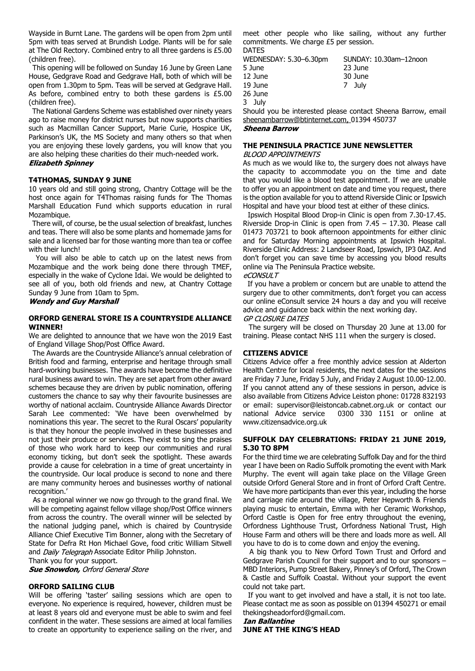Wayside in Burnt Lane. The gardens will be open from 2pm until 5pm with teas served at Brundish Lodge. Plants will be for sale at The Old Rectory. Combined entry to all three gardens is £5.00 (children free).

 This opening will be followed on Sunday 16 June by Green Lane House, Gedgrave Road and Gedgrave Hall, both of which will be open from 1.30pm to 5pm. Teas will be served at Gedgrave Hall. As before, combined entry to both these gardens is £5.00 (children free).

 The National Gardens Scheme was established over ninety years ago to raise money for district nurses but now supports charities such as Macmillan Cancer Support, Marie Curie, Hospice UK, Parkinson's UK, the MS Society and many others so that when you are enjoying these lovely gardens, you will know that you are also helping these charities do their much-needed work. **Elizabeth Spinney** 

#### **T4THOMAS, SUNDAY 9 JUNE**

10 years old and still going strong, Chantry Cottage will be the host once again for T4Thomas raising funds for The Thomas Marshall Education Fund which supports education in rural Mozambique.

 There will, of course, be the usual selection of breakfast, lunches and teas. There will also be some plants and homemade jams for sale and a licensed bar for those wanting more than tea or coffee with their lunch!

 You will also be able to catch up on the latest news from Mozambique and the work being done there through TMEF, especially in the wake of Cyclone Idai. We would be delighted to see all of you, both old friends and new, at Chantry Cottage Sunday 9 June from 10am to 5pm.

## **Wendy and Guy Marshall**

#### **ORFORD GENERAL STORE IS A COUNTRYSIDE ALLIANCE WINNER!**

We are delighted to announce that we have won the 2019 East of England Village Shop/Post Office Award.

 The Awards are the Countryside Alliance's annual celebration of British food and farming, enterprise and heritage through small hard-working businesses. The awards have become the definitive rural business award to win. They are set apart from other award schemes because they are driven by public nomination, offering customers the chance to say why their favourite businesses are worthy of national acclaim. Countryside Alliance Awards Director Sarah Lee commented: 'We have been overwhelmed by nominations this year. The secret to the Rural Oscars' popularity is that they honour the people involved in these businesses and not just their produce or services. They exist to sing the praises of those who work hard to keep our communities and rural economy ticking, but don't seek the spotlight. These awards provide a cause for celebration in a time of great uncertainty in the countryside. Our local produce is second to none and there are many community heroes and businesses worthy of national recognition.'

 As a regional winner we now go through to the grand final. We will be competing against fellow village shop/Post Office winners from across the country. The overall winner will be selected by the national judging panel, which is chaired by Countryside Alliance Chief Executive Tim Bonner, along with the Secretary of State for Defra Rt Hon Michael Gove, food critic William Sitwell and Daily Telegraph Associate Editor Philip Johnston.

Thank you for your support.

**Sue Snowdon, Orford General Store** 

#### **ORFORD SAILING CLUB**

Will be offering 'taster' sailing sessions which are open to everyone. No experience is required, however, children must be at least 8 years old and everyone must be able to swim and feel confident in the water. These sessions are aimed at local families to create an opportunity to experience sailing on the river, and

meet other people who like sailing, without any further commitments. We charge £5 per session.

**DATES** 

| WEDNESDAY: 5.30–6.30pm | SUNDAY: 10.30am-12noon |
|------------------------|------------------------|
| 5 June                 | 23 June                |
| 12 June                | 30 June                |
| 19 June                | 7 July                 |
| 26 June                |                        |
| 3 Julv                 |                        |

Should you be interested please contact Sheena Barrow, email sheenambarrow@btinternet.com, 01394 450737 **Sheena Barrow** 

## **THE PENINSULA PRACTICE JUNE NEWSLETTER**

#### **BLOOD APPOINTMENTS**

As much as we would like to, the surgery does not always have the capacity to accommodate you on the time and date that you would like a blood test appointment. If we are unable to offer you an appointment on date and time you request, there is the option available for you to attend Riverside Clinic or Ipswich Hospital and have your blood test at either of these clinics.

 Ipswich Hospital Blood Drop-in Clinic is open from 7.30-17.45. Riverside Drop-in Clinic is open from 7.45 – 17.30. Please call 01473 703721 to book afternoon appointments for either clinic and for Saturday Morning appointments at Ipswich Hospital. Riverside Clinic Address: 2 Landseer Road, Ipswich, IP3 0AZ. And don't forget you can save time by accessing you blood results online via The Peninsula Practice website. eCONSULT

 If you have a problem or concern but are unable to attend the surgery due to other commitments, don't forget you can access our online eConsult service 24 hours a day and you will receive advice and guidance back within the next working day. **GP CLOSURE DATES** 

 The surgery will be closed on Thursday 20 June at 13.00 for training. Please contact NHS 111 when the surgery is closed.

#### **CITIZENS ADVICE**

Citizens Advice offer a free monthly advice session at Alderton Health Centre for local residents, the next dates for the sessions are Friday 7 June, Friday 5 July, and Friday 2 August 10.00-12.00. If you cannot attend any of these sessions in person, advice is also available from Citizens Advice Leiston phone: 01728 832193 or email: supervisor@leistoncab.cabnet.org.uk or contact our national Advice service 0300 330 1151 or online at www.citizensadvice.org.uk

## **SUFFOLK DAY CELEBRATIONS: FRIDAY 21 JUNE 2019, 5.30 TO 8PM**

For the third time we are celebrating Suffolk Day and for the third year I have been on Radio Suffolk promoting the event with Mark Murphy. The event will again take place on the Village Green outside Orford General Store and in front of Orford Craft Centre. We have more participants than ever this year, including the horse and carriage ride around the village, Peter Hepworth & Friends playing music to entertain, Emma with her Ceramic Workshop, Orford Castle is Open for free entry throughout the evening, Orfordness Lighthouse Trust, Orfordness National Trust, High House Farm and others will be there and loads more as well. All you have to do is to come down and enjoy the evening.

 A big thank you to New Orford Town Trust and Orford and Gedgrave Parish Council for their support and to our sponsors – MBD Interiors, Pump Street Bakery, Pinney's of Orford, The Crown & Castle and Suffolk Coastal. Without your support the event could not take part.

 If you want to get involved and have a stall, it is not too late. Please contact me as soon as possible on 01394 450271 or email thekingsheadorford@gmail.com.

**Ian Ballantine JUNE AT THE KING'S HEAD**